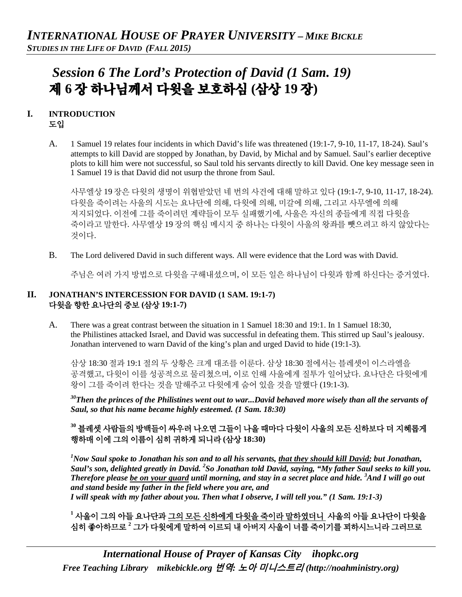# *Session 6 The Lord's Protection of David (1 Sam. 19)*  제 **6** 장 하나님께서 다윗을 보호하심 **(**삼상 **19** 장**)**

### **I. INTRODUCTION**  도입

A. 1 Samuel 19 relates four incidents in which David's life was threatened (19:1-7, 9-10, 11-17, 18-24). Saul's attempts to kill David are stopped by Jonathan, by David, by Michal and by Samuel. Saul's earlier deceptive plots to kill him were not successful, so Saul told his servants directly to kill David. One key message seen in 1 Samuel 19 is that David did not usurp the throne from Saul.

사무엘상 19 장은 다윗의 생명이 위협받았던 네 번의 사건에 대해 말하고 있다 (19:1-7, 9-10, 11-17, 18-24). 다윗을 죽이려는 사울의 시도는 요나단에 의해, 다윗에 의해, 미갈에 의해, 그리고 사무엘에 의해 저지되었다. 이전에 그를 죽이려던 계략들이 모두 실패했기에, 사울은 자신의 종들에게 직접 다윗을 죽이라고 말한다. 사무엘상 19 장의 핵심 메시지 중 하나는 다윗이 사울의 왕좌를 뺏으려고 하지 않았다는 것이다.

B. The Lord delivered David in such different ways. All were evidence that the Lord was with David.

주님은 여러 가지 방법으로 다윗을 구해내셨으며, 이 모든 일은 하나님이 다윗과 함께 하신다는 증거였다.

## **II. JONATHAN'S INTERCESSION FOR DAVID (1 SAM. 19:1-7)** 다윗을 향한 요나단의 중보 **(**삼상 **19:1-7)**

A. There was a great contrast between the situation in 1 Samuel 18:30 and 19:1. In 1 Samuel 18:30, the Philistines attacked Israel, and David was successful in defeating them. This stirred up Saul's jealousy. Jonathan intervened to warn David of the king's plan and urged David to hide (19:1-3).

삼상 18:30 절과 19:1 절의 두 상황은 크게 대조를 이룬다. 삼상 18:30 절에서는 블레셋이 이스라엘을 공격했고, 다윗이 이를 성공적으로 물리쳤으며, 이로 인해 사울에게 질투가 일어났다. 요나단은 다윗에게 왕이 그를 죽이려 한다는 것을 말해주고 다윗에게 숨어 있을 것을 말했다 (19:1-3).

*30Then the princes of the Philistines went out to war...David behaved more wisely than all the servants of Saul, so that his name became highly esteemed. (1 Sam. 18:30)*

**<sup>30</sup>** 블레셋 사람들의 방백들이 싸우러 나오면 그들이 나올 때마다 다윗이 사울의 모든 신하보다 더 지혜롭게 행하매 이에 그의 이름이 심히 귀하게 되니라 **(**삼상 **18:30)**

*1 Now Saul spoke to Jonathan his son and to all his servants, that they should kill David; but Jonathan, Saul's son, delighted greatly in David. 2 So Jonathan told David, saying, "My father Saul seeks to kill you. Therefore please be on your guard until morning, and stay in a secret place and hide. 3 And I will go out and stand beside my father in the field where you are, and I will speak with my father about you. Then what I observe, I will tell you." (1 Sam. 19:1-3)*

**<sup>1</sup>** 사울이 그의 아들 요나단과 그의 모든 신하에게 다윗을 죽이라 말하였더니 사울의 아들 요나단이 다윗을 심히 좋아하므로 **<sup>2</sup>** 그가 다윗에게 말하여 이르되 내 아버지 사울이 너를 죽이기를 꾀하시느니라 그러므로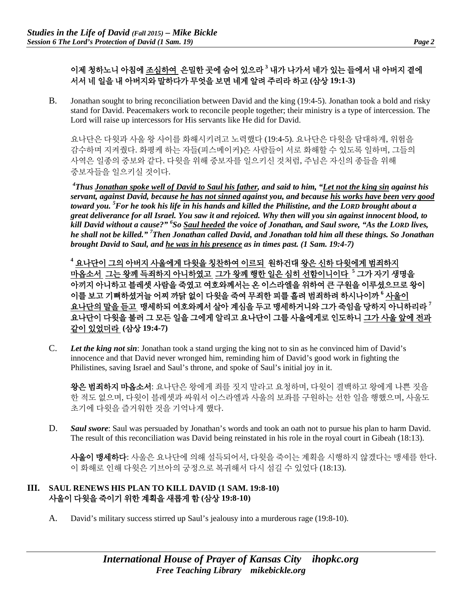# 이제 청하노니 아침에 조심하여 은밀한 곳에 숨어 있으라 **<sup>3</sup>** 내가 나가서 네가 있는 들에서 내 아버지 곁에 서서 네 일을 내 아버지와 말하다가 무엇을 보면 네게 알려 주리라 하고 **(**삼상 **19:1-3)**

B. Jonathan sought to bring reconciliation between David and the king (19:4-5). Jonathan took a bold and risky stand for David. Peacemakers work to reconcile people together; their ministry is a type of intercession. The Lord will raise up intercessors for His servants like He did for David.

요나단은 다윗과 사울 왕 사이를 화해시키려고 노력했다 (19:4-5). 요나단은 다윗을 담대하게, 위험을 감수하며 지켜줬다. 화평케 하는 자들(피스메이커)은 사람들이 서로 화해할 수 있도록 일하며, 그들의 사역은 일종의 중보와 같다. 다윗을 위해 중보자를 일으키신 것처럼, 주님은 자신의 종들을 위해 중보자들을 일으키실 것이다.

*4 Thus Jonathan spoke well of David to Saul his father, and said to him, "Let not the king sin against his servant, against David, because he has not sinned against you, and because his works have been very good toward you. 5 For he took his life in his hands and killed the Philistine, and the LORD brought about a great deliverance for all Israel. You saw it and rejoiced. Why then will you sin against innocent blood, to kill David without a cause?" 6 So Saul heeded the voice of Jonathan, and Saul swore, "As the LORD lives, he shall not be killed." 7 Then Jonathan called David, and Jonathan told him all these things. So Jonathan brought David to Saul, and he was in his presence as in times past. (1 Sam. 19:4-7)*

**<sup>4</sup>** 요나단이 그의 아버지 사울에게 다윗을 칭찬하여 이르되 원하건대 왕은 신하 다윗에게 범죄하지 마옵소서 그는 왕께 득죄하지 아니하였고 그가 왕께 행한 일은 심히 선함이니이다 **<sup>5</sup>** 그가 자기 생명을 아끼지 아니하고 블레셋 사람을 죽였고 여호와께서는 온 이스라엘을 위하여 큰 구원을 이루셨으므로 왕이 이를 보고 기뻐하셨거늘 어찌 까닭 없이 다윗을 죽여 무죄한 피를 흘려 범죄하려 하시나이까 **<sup>6</sup>** 사울이 요나단의 말을 듣고 맹세하되 여호와께서 살아 계심을 두고 맹세하거니와 그가 죽임을 당하지 아니하리라 **<sup>7</sup>** 요나단이 다윗을 불러 그 모든 일을 그에게 알리고 요나단이 그를 사울에게로 인도하니 그가 사울 앞에 전과 같이 있었더라 **(**삼상 **19:4-7)**

C. *Let the king not sin*: Jonathan took a stand urging the king not to sin as he convinced him of David's innocence and that David never wronged him, reminding him of David's good work in fighting the Philistines, saving Israel and Saul's throne, and spoke of Saul's initial joy in it.

왕은 범죄하지 마옵소서: 요나단은 왕에게 죄를 짓지 말라고 요청하며, 다윗이 결백하고 왕에게 나쁜 짓을 한 적도 없으며, 다윗이 블레셋과 싸워서 이스라엘과 사울의 보좌를 구원하는 선한 일을 행했으며, 사울도 초기에 다윗을 즐거워한 것을 기억나게 했다.

D. *Saul swore*: Saul was persuaded by Jonathan's words and took an oath not to pursue his plan to harm David. The result of this reconciliation was David being reinstated in his role in the royal court in Gibeah (18:13).

사울이 맹세하다: 사울은 요나단에 의해 설득되어서, 다윗을 죽이는 계획을 시행하지 않겠다는 맹세를 한다. 이 화해로 인해 다윗은 기브아의 궁정으로 복귀해서 다시 섬길 수 있었다 (18:13).

## **III. SAUL RENEWS HIS PLAN TO KILL DAVID (1 SAM. 19:8-10)** 사울이 다윗을 죽이기 위한 계획을 새롭게 함 **(**삼상 **19:8-10)**

A. David's military success stirred up Saul's jealousy into a murderous rage (19:8-10).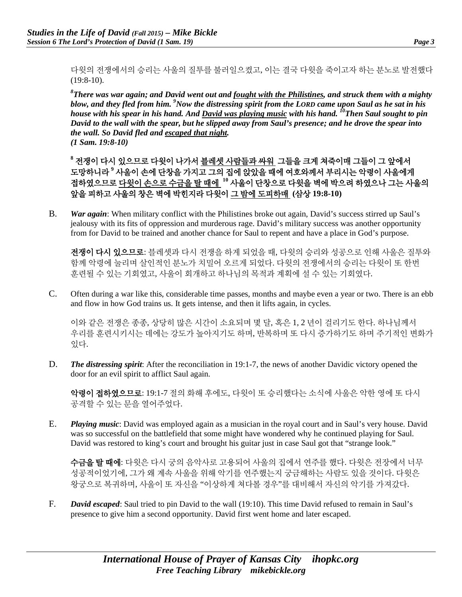다윗의 전쟁에서의 승리는 사울의 질투를 불러일으켰고, 이는 결국 다윗을 죽이고자 하는 분노로 발전했다 (19:8-10).

*8 There was war again; and David went out and fought with the Philistines, and struck them with a mighty blow, and they fled from him. <sup>9</sup>Now the distressing spirit from the LORD came upon Saul as he sat in his house with his spear in his hand. And David was playing music with his hand. 10Then Saul sought to pin David to the wall with the spear, but he slipped away from Saul's presence; and he drove the spear into the wall. So David fled and escaped that night. (1 Sam. 19:8-10)*

**<sup>8</sup>** 전쟁이 다시 있으므로 다윗이 나가서 블레셋 사람들과 싸워 그들을 크게 쳐죽이매 그들이 그 앞에서 도망하니라 **<sup>9</sup>** 사울이 손에 단창을 가지고 그의 집에 앉았을 때에 여호와께서 부리시는 악령이 사울에게 접하였으므로 다윗이 손으로 수금을 탈 때에 **<sup>10</sup>** 사울이 단창으로 다윗을 벽에 박으려 하였으나 그는 사울의 앞을 피하고 사울의 창은 벽에 박힌지라 다윗이 그 밤에 도피하매 **(**삼상 **19:8-10)**

B. *War again*: When military conflict with the Philistines broke out again, David's success stirred up Saul's jealousy with its fits of oppression and murderous rage. David's military success was another opportunity from for David to be trained and another chance for Saul to repent and have a place in God's purpose.

전쟁이 다시 있으므로: 블레셋과 다시 전쟁을 하게 되었을 때, 다윗의 승리와 성공으로 인해 사울은 질투와 함께 악령에 눌리며 살인적인 분노가 치밀어 오르게 되었다. 다윗의 전쟁에서의 승리는 다윗이 또 한번 훈련될 수 있는 기회였고, 사울이 회개하고 하나님의 목적과 계획에 설 수 있는 기회였다.

C. Often during a war like this, considerable time passes, months and maybe even a year or two. There is an ebb and flow in how God trains us. It gets intense, and then it lifts again, in cycles.

이와 같은 전쟁은 종종, 상당히 많은 시간이 소요되며 몇 달, 혹은 1, 2 년이 걸리기도 한다. 하나님께서 우리를 훈련시키시는 데에는 강도가 높아지기도 하며, 반복하며 또 다시 증가하기도 하며 주기적인 변화가 있다.

D. *The distressing spirit*: After the reconciliation in 19:1-7, the news of another Davidic victory opened the door for an evil spirit to afflict Saul again.

악령이 접하였으므로: 19:1-7 절의 화해 후에도, 다윗이 또 승리했다는 소식에 사울은 악한 영에 또 다시 공격할 수 있는 문을 열어주었다.

E. *Playing music*: David was employed again as a musician in the royal court and in Saul's very house. David was so successful on the battlefield that some might have wondered why he continued playing for Saul. David was restored to king's court and brought his guitar just in case Saul got that "strange look."

수금을 탈 때에: 다윗은 다시 궁의 음악사로 고용되어 사울의 집에서 연주를 했다. 다윗은 전장에서 너무 성공적이었기에, 그가 왜 계속 사울을 위해 악기를 연주했는지 궁금해하는 사람도 있을 것이다. 다윗은 왕궁으로 복귀하며, 사울이 또 자신을 "이상하게 쳐다볼 경우"를 대비해서 자신의 악기를 가져갔다.

F. *David escaped*: Saul tried to pin David to the wall (19:10). This time David refused to remain in Saul's presence to give him a second opportunity. David first went home and later escaped.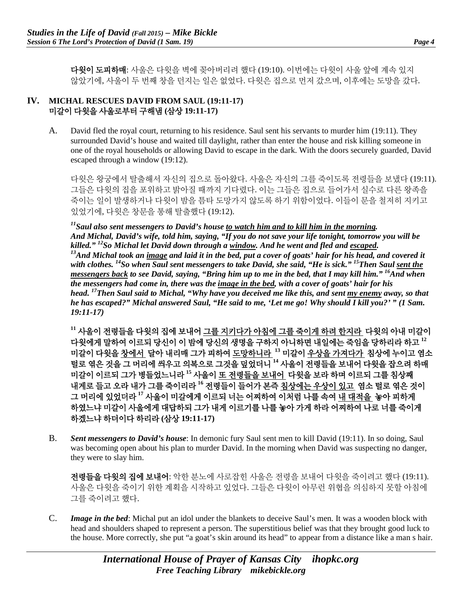다윗이 도피하매: 사울은 다윗을 벽에 꽂아버리려 했다 (19:10). 이번에는 다윗이 사울 앞에 계속 있지 않았기에, 사울이 두 번째 창을 던지는 일은 없었다. 다윗은 집으로 먼저 갔으며, 이후에는 도망을 갔다.

## **IV. MICHAL RESCUES DAVID FROM SAUL (19:11-17)** 미갈이 다윗을 사울로부터 구해냄 **(**삼상 **19:11-17)**

A. David fled the royal court, returning to his residence. Saul sent his servants to murder him (19:11). They surrounded David's house and waited till daylight, rather than enter the house and risk killing someone in one of the royal households or allowing David to escape in the dark. With the doors securely guarded, David escaped through a window (19:12).

다윗은 왕궁에서 탈출해서 자신의 집으로 돌아왔다. 사울은 자신의 그를 죽이도록 전령들을 보냈다 (19:11). 그들은 다윗의 집을 포위하고 밝아질 때까지 기다렸다. 이는 그들은 집으로 들어가서 실수로 다른 왕족을 죽이는 일이 발생하거나 다윗이 밤을 틈타 도망가지 않도록 하기 위함이었다. 이들이 문을 철저히 지키고 있었기에, 다윗은 창문을 통해 탈출했다 (19:12).

*11Saul also sent messengers to David's house to watch him and to kill him in the morning. And Michal, David's wife, told him, saying, "If you do not save your life tonight, tomorrow you will be*  killed." <sup>12</sup>So Michal let David down through a <u>window</u>. And he went and fled and <u>escaped</u>.<br><sup>13</sup>And Michal took an image and laid it in the bed, put a cover of goats' hair for his head, and covered it *with clothes. 14So when Saul sent messengers to take David, she said, "He is sick." 15Then Saul sent the messengers back to see David, saying, "Bring him up to me in the bed, that I may kill him." 16And when the messengers had come in, there was the image in the bed, with a cover of goats' hair for his head. 17Then Saul said to Michal, "Why have you deceived me like this, and sent my enemy away, so that he has escaped?" Michal answered Saul, "He said to me, 'Let me go! Why should I kill you?' " (1 Sam. 19:11-17)*

**<sup>11</sup>** 사울이 전령들을 다윗의 집에 보내어 그를 지키다가 아침에 그를 죽이게 하려 한지라 다윗의 아내 미갈이 다윗에게 말하여 이르되 당신이 이 밤에 당신의 생명을 구하지 아니하면 내일에는 죽임을 당하리라 하고 **<sup>12</sup>** 미갈이 다윗을 창에서 달아 내리매 그가 피하여 도망하니라 **<sup>13</sup>** 미갈이 우상을 가져다가 침상에 누이고 염소 털로 엮은 것을 그 머리에 씌우고 의복으로 그것을 덮었더니 **<sup>14</sup>** 사울이 전령들을 보내어 다윗을 잡으려 하매 미갈이 이르되 그가 병들었느니라 **<sup>15</sup>** 사울이 또 전령들을 보내어 다윗을 보라 하며 이르되 그를 침상째 내게로 들고 오라 내가 그를 죽이리라 **<sup>16</sup>** 전령들이 들어가 본즉 침상에는 우상이 있고 염소 털로 엮은 것이 그 머리에 있었더라 **<sup>17</sup>** 사울이 미갈에게 이르되 너는 어찌하여 이처럼 나를 속여 내 대적을 놓아 피하게 하였느냐 미갈이 사울에게 대답하되 그가 내게 이르기를 나를 놓아 가게 하라 어찌하여 나로 너를 죽이게 하겠느냐 하더이다 하리라 **(**삼상 **19:11-17)**

B. *Sent messengers to David's house*: In demonic fury Saul sent men to kill David (19:11). In so doing, Saul was becoming open about his plan to murder David. In the morning when David was suspecting no danger, they were to slay him.

전령들을 다윗의 집에 보내어: 악한 분노에 사로잡힌 사울은 전령을 보내어 다윗을 죽이려고 했다 (19:11). 사울은 다윗을 죽이기 위한 계획을 시작하고 있었다. 그들은 다윗이 아무런 위협을 의심하지 못할 아침에 그를 죽이려고 했다.

C. *Image in the bed*: Michal put an idol under the blankets to deceive Saul's men. It was a wooden block with head and shoulders shaped to represent a person. The superstitious belief was that they brought good luck to the house. More correctly, she put "a goat's skin around its head" to appear from a distance like a man s hair.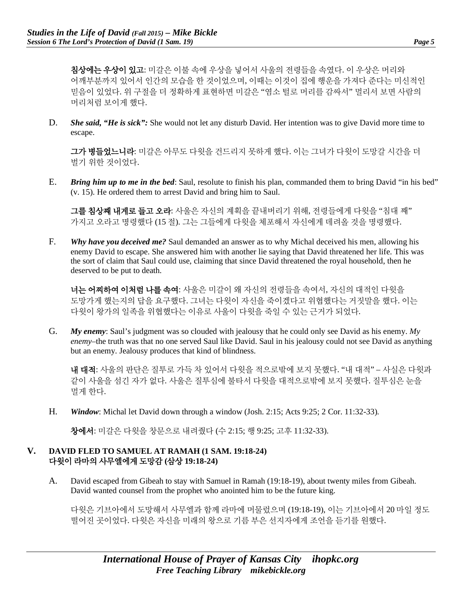**침상에는 우상이 있고**: 미갈은 이불 속에 우상을 넣어서 사울의 전령들을 속였다. 이 우상은 머리와 어깨부분까지 있어서 인간의 모습을 한 것이었으며, 이때는 이것이 집에 행운을 가져다 준다는 미신적인 믿음이 있었다. 위 구절을 더 정확하게 표현하면 미갈은 "염소 털로 머리를 감싸서" 멀리서 보면 사람의 머리처럼 보이게 했다.

D. **She said, "He is sick":** She would not let any disturb David. Her intention was to give David more time to escape.

그가 병들었느니라: 미갈은 아무도 다윗을 건드리지 못하게 했다. 이는 그녀가 다윗이 도망갈 시간을 더 벌기 위한 것이었다.

E. *Bring him up to me in the bed*: Saul, resolute to finish his plan, commanded them to bring David "in his bed" (v. 15). He ordered them to arrest David and bring him to Saul.

그를 침상째 내게로 들고 오라: 사울은 자신의 계획을 끝내버리기 위해, 전령들에게 다윗을 "침대 째" 가지고 오라고 명령했다 (15 절). 그는 그들에게 다윗을 체포해서 자신에게 데려올 것을 명령했다.

F. *Why have you deceived me?* Saul demanded an answer as to why Michal deceived his men, allowing his enemy David to escape. She answered him with another lie saying that David threatened her life. This was the sort of claim that Saul could use, claiming that since David threatened the royal household, then he deserved to be put to death.

너는 어찌하여 이처럼 나를 속여: 사울은 미갈이 왜 자신의 전령들을 속여서, 자신의 대적인 다윗을 도망가게 했는지의 답을 요구했다. 그녀는 다윗이 자신을 죽이겠다고 위협했다는 거짓말을 했다. 이는 다윗이 왕가의 일족을 위협했다는 이유로 사울이 다윗을 죽일 수 있는 근거가 되었다.

G. *My enemy*: Saul's judgment was so clouded with jealousy that he could only see David as his enemy. *My enemy*–the truth was that no one served Saul like David. Saul in his jealousy could not see David as anything but an enemy. Jealousy produces that kind of blindness.

내 대적: 사울의 판단은 질투로 가득 차 있어서 다윗을 적으로밖에 보지 못했다. "내 대적" – 사실은 다윗과 같이 사울을 섬긴 자가 없다. 사울은 질투심에 불타서 다윗을 대적으로밖에 보지 못했다. 질투심은 눈을 멀게 한다.

H. *Window*: Michal let David down through a window (Josh. 2:15; Acts 9:25; 2 Cor. 11:32-33).

창에서: 미갈은 다윗을 창문으로 내려줬다 (수 2:15; 행 9:25; 고후 11:32-33).

### **V. DAVID FLED TO SAMUEL AT RAMAH (1 SAM. 19:18-24)** 다윗이 라마의 사무엘에게 도망감 **(**삼상 **19:18-24)**

A. David escaped from Gibeah to stay with Samuel in Ramah (19:18-19), about twenty miles from Gibeah. David wanted counsel from the prophet who anointed him to be the future king.

다윗은 기브아에서 도망해서 사무엘과 함께 라마에 머물렀으며 (19:18-19), 이는 기브아에서 20 마일 정도 떨어진 곳이었다. 다윗은 자신을 미래의 왕으로 기름 부은 선지자에게 조언을 듣기를 원했다.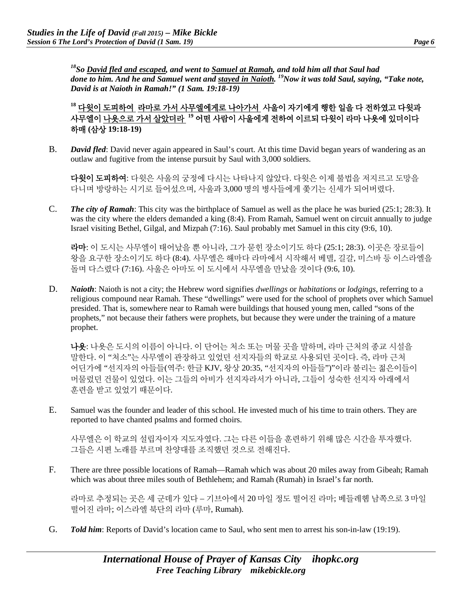*18So David fled and escaped, and went to Samuel at Ramah, and told him all that Saul had done to him. And he and Samuel went and stayed in Naioth.* <sup>19</sup>Now it was told Saul, saying, "Take note, *David is at Naioth in Ramah!" (1 Sam. 19:18-19)*

**<sup>18</sup>** 다윗이 도피하여 라마로 가서 사무엘에게로 나아가서 사울이 자기에게 행한 일을 다 전하였고 다윗과 사무엘이 나욧으로 가서 살았더라 **<sup>19</sup>** 어떤 사람이 사울에게 전하여 이르되 다윗이 라마 나욧에 있더이다 하매 **(**삼상 **19:18-19)**

B. *David fled*: David never again appeared in Saul's court. At this time David began years of wandering as an outlaw and fugitive from the intense pursuit by Saul with 3,000 soldiers.

다윗이 도피하여: 다윗은 사울의 궁정에 다시는 나타나지 않았다. 다윗은 이제 불법을 저지르고 도망을 다니며 방랑하는 시기로 들어섰으며, 사울과 3,000 명의 병사들에게 쫓기는 신세가 되어버렸다.

C. *The city of Ramah*: This city was the birthplace of Samuel as well as the place he was buried (25:1; 28:3). It was the city where the elders demanded a king (8:4). From Ramah, Samuel went on circuit annually to judge Israel visiting Bethel, Gilgal, and Mizpah (7:16). Saul probably met Samuel in this city (9:6, 10).

라마: 이 도시는 사무엘이 태어났을 뿐 아니라, 그가 묻힌 장소이기도 하다 (25:1; 28:3). 이곳은 장로들이 왕을 요구한 장소이기도 하다 (8:4). 사무엘은 해마다 라마에서 시작해서 베델, 길갈, 미스바 등 이스라엘을 돌며 다스렸다 (7:16). 사울은 아마도 이 도시에서 사무엘을 만났을 것이다 (9:6, 10).

D. *Naioth*: Naioth is not a city; the Hebrew word signifies *dwellings* or *habitations* or *lodgings*, referring to a religious compound near Ramah. These "dwellings" were used for the school of prophets over which Samuel presided. That is, somewhere near to Ramah were buildings that housed young men, called "sons of the prophets," not because their fathers were prophets, but because they were under the training of a mature prophet.

나욧: 나욧은 도시의 이름이 아니다. 이 단어는 처소 또는 머물 곳을 말하며, 라마 근처의 종교 시설을 말한다. 이 "처소"는 사무엘이 관장하고 있었던 선지자들의 학교로 사용되던 곳이다. 즉, 라마 근처 어딘가에 "선지자의 아들들(역주: 한글 KJV, 왕상 20:35, "선지자의 아들들")"이라 불리는 젊은이들이 머물렀던 건물이 있었다. 이는 그들의 아비가 선지자라서가 아니라, 그들이 성숙한 선지자 아래에서 훈련을 받고 있었기 때문이다.

E. Samuel was the founder and leader of this school. He invested much of his time to train others. They are reported to have chanted psalms and formed choirs.

사무엘은 이 학교의 설립자이자 지도자였다. 그는 다른 이들을 훈련하기 위해 많은 시간을 투자했다. 그들은 시편 노래를 부르며 찬양대를 조직했던 것으로 전해진다.

F. There are three possible locations of Ramah—Ramah which was about 20 miles away from Gibeah; Ramah which was about three miles south of Bethlehem; and Ramah (Rumah) in Israel's far north.

라마로 추정되는 곳은 세 군데가 있다 – 기브아에서 20 마일 정도 떨어진 라마; 베들레헴 남쪽으로 3 마일 떨어진 라마; 이스라엘 북단의 라마 (루마, Rumah).

G. *Told him*: Reports of David's location came to Saul, who sent men to arrest his son-in-law (19:19).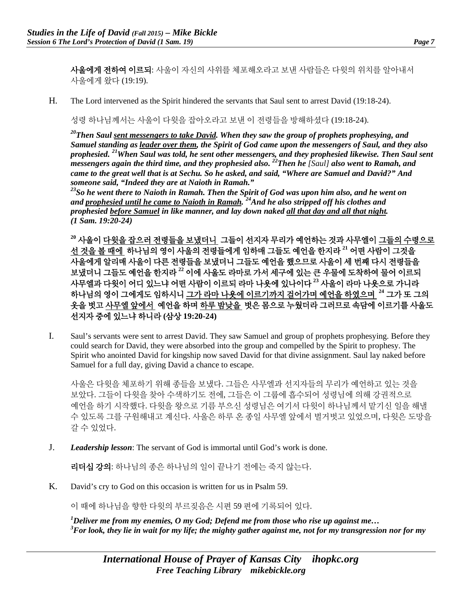사울에게 전하여 이르되: 사울이 자신의 사위를 체포해오라고 보낸 사람들은 다윗의 위치를 알아내서 사울에게 왔다 (19:19).

H. The Lord intervened as the Spirit hindered the servants that Saul sent to arrest David (19:18-24).

성령 하나님께서는 사울이 다윗을 잡아오라고 보낸 이 전령들을 방해하셨다 (19:18-24).

*20Then Saul sent messengers to take David. When they saw the group of prophets prophesying, and Samuel standing as leader over them, the Spirit of God came upon the messengers of Saul, and they also prophesied. 21When Saul was told, he sent other messengers, and they prophesied likewise. Then Saul sent messengers again the third time, and they prophesied also.* <sup>22</sup>Then he *[Saul] also went to Ramah, and messengers again the third time, and they prophesied also.* <sup>22</sup>Then he *[Saul] also went to Ramah, and came to the great well that is at Sechu. So he asked, and said, "Where are Samuel and David?" And someone said, "Indeed they are at Naioth in Ramah."*

*23So he went there to Naioth in Ramah. Then the Spirit of God was upon him also, and he went on and prophesied until he came to Naioth in Ramah. 24And he also stripped off his clothes and prophesied before Samuel in like manner, and lay down naked all that day and all that night. (1 Sam. 19:20-24)*

**<sup>20</sup>** 사울이 다윗을 잡으러 전령들을 보냈더니 그들이 선지자 무리가 예언하는 것과 사무엘이 그들의 수령으로 선 것을 볼 때에 하나님의 영이 사울의 전령들에게 임하매 그들도 예언을 한지라 **<sup>21</sup>** 어떤 사람이 그것을 사울에게 알리매 사울이 다른 전령들을 보냈더니 그들도 예언을 했으므로 사울이 세 번째 다시 전령들을 보냈더니 그들도 예언을 한지라 **<sup>22</sup>** 이에 사울도 라마로 가서 세구에 있는 큰 우물에 도착하여 물어 이르되 사무엘과 다윗이 어디 있느냐 어떤 사람이 이르되 라마 나욧에 있나이다 **<sup>23</sup>** 사울이 라마 나욧으로 가니라 하나님의 영이 그에게도 임하시니 그가 라마 나욧에 이르기까지 걸어가며 예언을 하였으며 **<sup>24</sup>** 그가 또 그의 옷을 벗고 사무엘 앞에서 예언을 하며 하루 밤낮을 벗은 몸으로 누웠더라 그러므로 속담에 이르기를 사울도 선지자 중에 있느냐 하니라 **(**삼상 **19:20-24)**

I. Saul's servants were sent to arrest David. They saw Samuel and group of prophets prophesying. Before they could search for David, they were absorbed into the group and compelled by the Spirit to prophesy. The Spirit who anointed David for kingship now saved David for that divine assignment. Saul lay naked before Samuel for a full day, giving David a chance to escape.

사울은 다윗을 체포하기 위해 종들을 보냈다. 그들은 사무엘과 선지자들의 무리가 예언하고 있는 것을 보았다. 그들이 다윗을 찾아 수색하기도 전에, 그들은 이 그룹에 흡수되어 성령님에 의해 강권적으로 예언을 하기 시작했다. 다윗을 왕으로 기름 부으신 성령님은 여기서 다윗이 하나님께서 맡기신 일을 해낼 수 있도록 그를 구원해내고 계신다. 사울은 하루 온 종일 사무엘 앞에서 벌거벗고 있었으며, 다윗은 도망을 갈 수 있었다.

J. *Leadership lesson*: The servant of God is immortal until God's work is done.

리더십 강의: 하나님의 종은 하나님의 일이 끝나기 전에는 죽지 않는다.

K. David's cry to God on this occasion is written for us in Psalm 59.

이 때에 하나님을 향한 다윗의 부르짖음은 시편 59 편에 기록되어 있다.

*1 Deliver me from my enemies, O my God; Defend me from those who rise up against me… 3 For look, they lie in wait for my life; the mighty gather against me, not for my transgression nor for my*